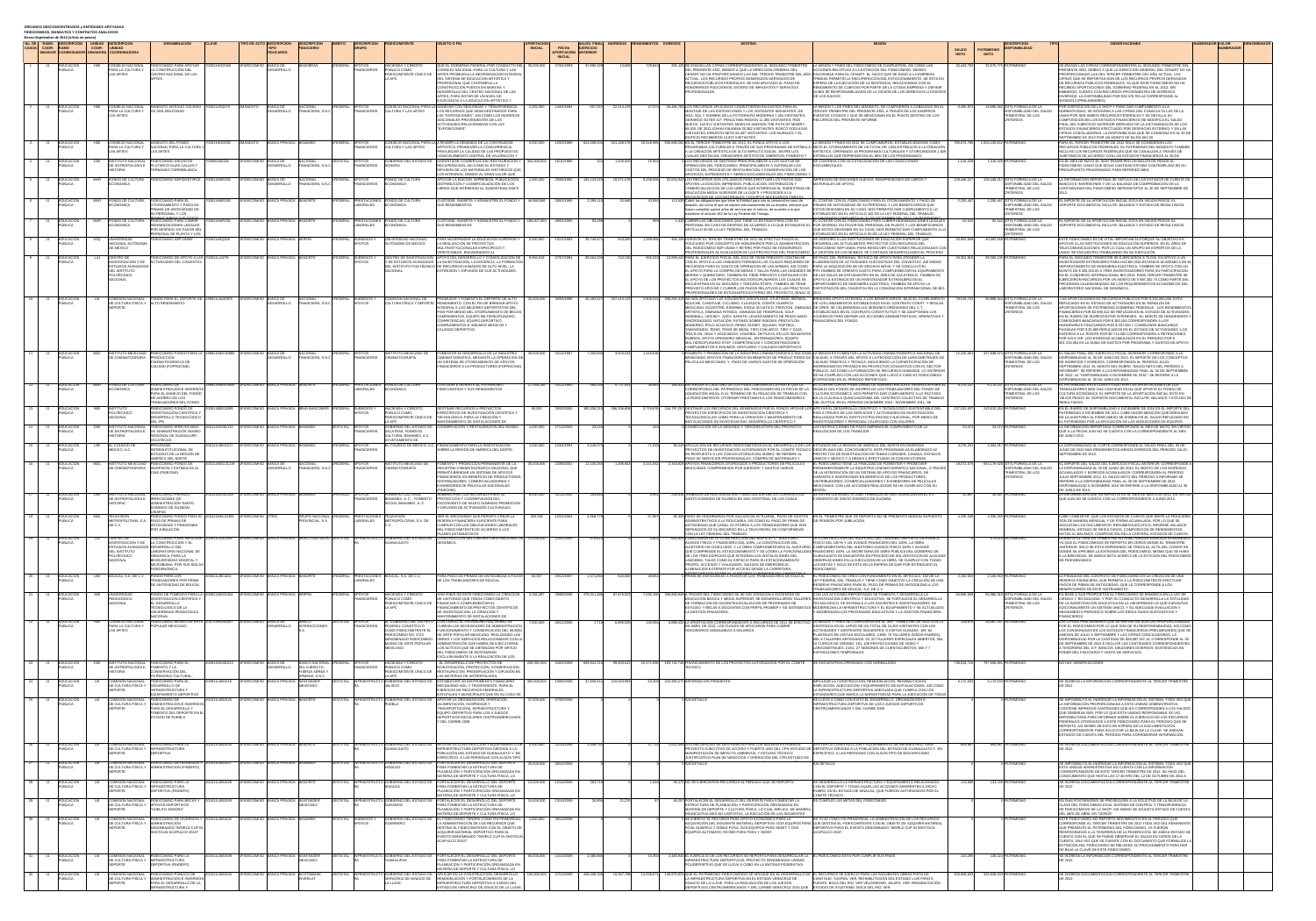| <b>CASOSI COOR- IRAMO</b>         | Enero-Septiembre de 2012 (cifras en pesos)<br>No. DE I RAMO IDESCRIPCIÓN I UNIDAD IDESCRIPCIÓN<br>DINADOR COORDINADOR DINADORA COORDINADORA | COOR-                   |                                                                                                       | <b>DENOMINACIÓN</b><br><b>CI AVE</b>                                                                                                                                                      | <b>TIPO DE ACTO IDESCRIPCIÓN</b><br><b>IDESCRIPCIÓN</b><br><b>FIDUCIARIO</b>                                                                         | <b>IDESCRIPCIÓN FIDEICOMITENTE</b>                                     |                                                                                     | <b>OBJETO O FIN</b><br><b>INICIAL</b>                                                                                                                                                                                                                                                                                                                   | <b>APORTACIÓN</b><br><b>FECHA</b>                | <b>EJERCICIO</b><br>APORTACIÓN ANTERIOR |                    | INGRESOS RENDIMIENTOS EGRESOS | <b>DESTINO</b>                                                                                                                                                                                                                                                                                                                                                                                                                                           | <b>MISION</b>                                                                                                                                                                                                                                                                                                                                                                                  | <b>SALDO</b><br><b>PATRIMONK</b><br><b>NETO</b><br><b>NETO</b> | <b>DESCRIPCION</b><br>PONIBILIDAD                                                                | <b>OBSERVACIONES</b>                                                                                                                                                                                                                                                                                                                                                               | <b>NUMERADOR VALOR</b><br><b>IDENOMINADOR</b><br><b>NUMERADOI</b> |
|-----------------------------------|---------------------------------------------------------------------------------------------------------------------------------------------|-------------------------|-------------------------------------------------------------------------------------------------------|-------------------------------------------------------------------------------------------------------------------------------------------------------------------------------------------|------------------------------------------------------------------------------------------------------------------------------------------------------|------------------------------------------------------------------------|-------------------------------------------------------------------------------------|---------------------------------------------------------------------------------------------------------------------------------------------------------------------------------------------------------------------------------------------------------------------------------------------------------------------------------------------------------|--------------------------------------------------|-----------------------------------------|--------------------|-------------------------------|----------------------------------------------------------------------------------------------------------------------------------------------------------------------------------------------------------------------------------------------------------------------------------------------------------------------------------------------------------------------------------------------------------------------------------------------------------|------------------------------------------------------------------------------------------------------------------------------------------------------------------------------------------------------------------------------------------------------------------------------------------------------------------------------------------------------------------------------------------------|----------------------------------------------------------------|--------------------------------------------------------------------------------------------------|------------------------------------------------------------------------------------------------------------------------------------------------------------------------------------------------------------------------------------------------------------------------------------------------------------------------------------------------------------------------------------|-------------------------------------------------------------------|
|                                   | EDUCACION<br>PUBLICA                                                                                                                        |                         | PARA LA CULTURA Y                                                                                     | H00 CONSEJO NACIONAL FIDEICOMISO PARA APOYAR 700011HOO046 1FIDEICOMISO BANCA DE<br>LA CONSTRUCCIÓN DEL                                                                                    | <b>BANOBRAS</b><br><b>DESARROLLO</b>                                                                                                                 | 1FEDERAL APOYOS<br>FINANCIEROS PÚBLICO COMO                            | <b>HACIENDA Y CRÉDITO</b>                                                           | QUE EL GOBIERNO FEDERAL POR CONDUCTO DEL 30,000,000   27/04/1993   31,990,329<br>CONSEJO NACIONAL PARA LA CULTURA Y LAS                                                                                                                                                                                                                                 | <b>INICIAL</b>                                   |                                         |                    |                               | 729,843 291,129 SE ENVIAN LAS CIFRAS CORRESPONDIENTES AL SEGUNDO TRIMESTRE LA MISIÓN Y FINES DEL FIDEICOMISO SE CUMPLIERON, ASÍ COMO LAS<br>)EL PRESENTE AÑO. DEBIDO A QUE LA DIRECCIÓN GENERAL DEL                                                                                                                                                                                                                                                      | CCIONES RELATIVAS A LA EXTINCIÓN DEL FIDEICOMISO. SIENDO                                                                                                                                                                                                                                                                                                                                       | 32,442,702 32,575,775 PATRIMONIO                               |                                                                                                  | SE ENVÍAN LAS CIFRAS CORRESPONDIENTES AL SEGUNDO TRIMESTRE DEL<br>PRESENTE AÑO, DEBIDO A QUE LA DIRECCIÓN GENERAL DEL CENART NO HA                                                                                                                                                                                                                                                 |                                                                   |
|                                   |                                                                                                                                             |                         | <b>LAS ARTES</b>                                                                                      | CENTRO NACIONAL DE LAS                                                                                                                                                                    |                                                                                                                                                      |                                                                        | FIDEICOMITENTE ÚNICO DE<br>A APC                                                    | ARTES PROMUEVA LA REORDENACION INTEGRAL<br>DEL SISTEMA DE EDUCACION ARTISTICA Y<br>PROFESIONAL QUE CONTEMPLA LA<br>CONSTRUCCION PUESTA EN MARCHA Y<br>DESARROLLO DEL CENTRO NACIONAL DE LAS<br>ARTES. PARA DOTAR DE UN NIVEL DE                                                                                                                         |                                                  |                                         |                    |                               | CENART NO HA PROPORCIONADO LAS DEL TERCER TRIMESTRE D<br>ACTUAL. LOS RECURSOS PROPIOS GENERADOS DERIVADOS DE<br>RECURSOS PÚBLICOS FEDERALES. SE HAN APLICADO AL PAGO DE<br><del>I</del> ONORARIOS FIDUCIARIOS, ENTERO DE IMPUESTOS Y SERVICIOS<br>PROFESIONALES.                                                                                                                                                                                         | FAVORABLE PARA EL CENART. EL JUICIO QUE SE GANÓ A LA EMPRESA<br>TRIBASA PERMITIÓ LA RECUPERACIÓN DEL ESTACIONAMIENTO. SE ESTA EN<br>ESPERA DE LA EJECUCIÓN DE LA SENTENCIA. RELACIONADA CON EL<br>RENDIMIENTO DE CUENTAS POR PARTE DE LA CITADA EMPRESA Y DEFINIF<br>QUIEN SE RESPONSABILIZARÍA DE LA CESIÓN DE LOS DERECHOS LITIGIOS(<br>DE LOS JUICIOS                                       |                                                                |                                                                                                  | PROPORCIONADO LAS DEL TERCER TRIMESTRE DEL AÑO ACTUAL. LAS<br>CIFRAS QUE SE REPORTAN SON DE LOS RECURSOS PROPIOS DERIVADOS<br>DE RECURSOS PÚBLICOS FEDERALES. YA QUE ESTE FIDEICOMISO NO HA<br>ECIBIDO APORTACIONES DEL GOBIERNO FEDERAL EN EL 2012, SIN<br>MBARGO, CUENTA CON RECURSOS PROVENIENTES DE INGRESOS<br>DIVERSOS. LA DISPONIBILIDAD POR \$32,576,755.44 CORRESPONDE AI |                                                                   |
|                                   | EDUCACIÓN<br>PUBLICA                                                                                                                        |                         | PARA LA CULTURA Y DE SAN IDELFONSO                                                                    | H00 CONSEJO NACIONAL MANDATO ANTIGUO COLEGIO 700011A3Q076 2MANDATO BANCA DE                                                                                                               | <b>JACIONAL</b><br><b>DESARROLLO</b><br>FINANCIERA, S.N.                                                                                             | EDERAL APOYOS                                                          | CONSEJO NACIONAL PARA<br>FINANCIEROS CULTURA Y LAS ARTES                            | EXCELENCIA A LA EDUCACION ARTISTICA Y<br>LOS RECURSOS QUE SEAN DESTINADOS PARA                                                                                                                                                                                                                                                                          |                                                  |                                         | 657.357 22.314.479 |                               | 47.074 26.484.783 LOS RECURSOS APLICADOS CONSISTIERON EN GASTOS PARA EL<br>MONTAJE DE LAS EXPOSICIONES Y LOS VISITANTES SIGUIENTES: DE                                                                                                                                                                                                                                                                                                                   | ∖ MISIÓN Y LOS FINES DEL MANDATO. SE CUMPLIERON A CABALIDAD EN EL<br>TERCER TRIMESTRE DEL PRESENTE AÑO. A TRAVÉS DE LOS DIVERSOS                                                                                                                                                                                                                                                               |                                                                | DISPONIBILIDAD DEL SALDO                                                                         | 0/06/2012 (PRELIMINARES)<br>DR DISPOSICIÓN DE LA SHCP Y PARA DAR CUMPLIMIENTO A LA<br>NORMATIVIDAD, SE INTEGRAN A LAS CIFRAS DEL CONACULTA LAS DE LA                                                                                                                                                                                                                               |                                                                   |
|                                   |                                                                                                                                             |                         | <b>AS ARTES</b>                                                                                       |                                                                                                                                                                                           |                                                                                                                                                      |                                                                        |                                                                                     | AS "EXPOSICIONES". ASI COMO LOS INGRESOS<br>ADICIONALES PROVENIENTES DE LAS<br><b>ACTIVIDADES RELACIONADAS CON LAS</b><br><b>EXPOSICIONES".</b>                                                                                                                                                                                                         |                                                  |                                         |                    |                               | 2011: SOL Y SOMBRA DE LA FOTOGRAFÍA MODERNA 7,294 VISITANTES;<br>ERARDO SUTER D.F. PENULTIMA REGIÓN 11,300 VISITANTES; RON<br>MUECK. 142.974 VISITANTES: MARILYN MANSON THE PATH OF MISERY<br>68,205. DE 2012 JOHAN FALKMAN 20,382 VISITANTES; BOSCO SODI 6,545<br>VISITANTES; ERNESTO NETO 84,407 VISITANTES. LOS MURALES Y EL                                                                                                                          | EVENTOS CITADOS Y QUE SE MENCIONAN EN EL PUNTO DESTINO DE LOS<br>ECURSOS DEL PRESENTE INFORME.                                                                                                                                                                                                                                                                                                 |                                                                | TRIMESTRAL DE LOS<br>CRITERIOS                                                                   | UNAM POR SER AMBOS RECURSOS FEDERALES Y SE DETALLA SU<br>COMPOSICIÓN EN LOS ESTADOS FINANCIEROS (SE MODIFICA EL SALDO<br>FINAL DEL EJERCICIO ANTERIOR DERIVADO DE LA DICTAMINACIÓN DE LOS<br>ESTADOS FINANCIEROS EFECTUADO POR DESPACHO EXTERNO) Y EN LAS<br>CIFRAS CONCILIADORAS. LA DISPONIBILIDAD QUE SE CONSIGNA ES AL 30 DE                                                   |                                                                   |
|                                   | <b>IEDUCACION</b>                                                                                                                           |                         | PARA LA CULTURA Y<br>LAS ARTES                                                                        | H00 CONSEJO NACIONAL MANDATO DEL FONDO<br>NACIONAL PARA LA CULTURA Y<br><b>LAS ARTES</b>                                                                                                  | 700011HOO092 2MANDATO BANCA PRIVADA BANAMEX                                                                                                          | FEDERAL APOYOS                                                         |                                                                                     | ARTISTICA; PROMOVER LA CONCURRENCIA,<br>PRIVILEGIAR LA CALIDAD DE LAS PROPUESTAS<br>COMO ELEMENTO CENTRAL DE VALORACION Y                                                                                                                                                                                                                               |                                                  |                                         |                    |                               | EDIFICIO RECIBIERON 12,872 VISITANTES.<br>CONSEJO NACIONAL PARA LA ATENDER LA DEMANDA DE LA CONTINUIDAD   5,000,000   12/03/1989   624,658,004 641,168,078 20,546,965 500,698,262 EN EL TERCER TRIMESTRE DE 2012, EL FONCA APOYÓ A LOS<br>LA CREACION ARTISTICA DE ALTO IMPACTO SOCIAL, ENTRE LOS<br>CUALES DESTACAN: CREADORES ARTÍSTICOS. EMÉRITOS: FOMENTO Y                                                                                          | LA MISIÓN Y FINES EN 2012 SE CUMPLIMIERON, ESTABLECIENDOSE COMO<br>PROGRAMAS CULTURALES A TRAVÉS DE SUS PROGRAMAS DE ESTIMULO  META EL OTORGAMIENTO DE UN TOTAL DE 1,854 ESTIMULOS A LA CREACION<br>ARTISTICA. OPERANDO 16 PROGRAMAS CULTURALES Y OTORGANDOSE 1.629<br>ESTIMULOS QUE REPRESENTAN EL 88% DE LOS PROGRAMADO.                                                                     | 785,674,785    1,004,130,652    PATRIMONIO                     |                                                                                                  | SEPTIEMBRE DE 2012 POR UN MONTO DE \$4,351,001.00<br>PARA EL TERCER TRIMESTRE DE 2012 SOLO SE CONSIDERAN LOS<br>RECURSOS PUBLICOS FEDERALES. EL PATRIMONIO DEL MANDATO TAMBIÉN<br>IINCLUYE LOS RECURSOS FEDERALES QUE SE CANALIZAN A TRAVÉS DE<br>SUBFONDOS DE ACUERDO CON LOS ESTADOS FINANCIEROS AL 30 DE                                                                        |                                                                   |
|                                   | EDUCACIÓN<br>PUBLICA                                                                                                                        | DOO                     | IINSTITUTO NACIONAL<br>DE ANTROPOLOGÍA E                                                              | FIDEICOMISO ARCHIVOS<br>700006300136<br><b>PLUTARCO ELIAS CALLES Y</b><br>FERNANDO TORREBLANCA.                                                                                           | 1FIDEICOMISO BANCA DE<br>NACIONAL<br><b>DESARROLLO</b><br>FINANCIERA, S.N.C                                                                          | ESTATAL APOYOS<br>FINANCIEROS ISONORA                                  | <b>GOBIERNO DEL ESTADO DE</b>                                                       | GARANTIZAR CONSERVACION. RESTAURACION Y   300.000.000   16/10/1986<br>RECUPERACION, ASI COMO EL ESTUDIO Y<br>DIFUSION DE LOS MATERIALES HISTORICOS QUE<br>OS INTEGRAN, DEBIDO AL GRAN VALOR QUE                                                                                                                                                         |                                                  |                                         | 1.000.0001         |                               | OS RECURSOS SE DESTINAN PRINCIPALMENTE A LOS GASTOS DE<br>OPERACIÓN DEL FIDEICOMISO. PRINCIPALMENTE A SUFRAGAR LOS<br>COSTOS DEL PROCESO DE RESTAURACIÓN Y CONSERVACIÓN DE LOS<br>ARCHIVOS. EXPEDIENTES Y SERIES DOCUMENTALES DEL FIDEICOMISO                                                                                                                                                                                                            | ECONTINÚA CON LA CATALOGACIÓN DE LAS COLECCIONES.<br><b>DOCUMENTALES</b>                                                                                                                                                                                                                                                                                                                       | 1.016.228                                                      | 1.016.228 PATRIMONIO                                                                             | EN EL MES DE MAYO EL INAH TRANSFIRIO UN MILLON DE PESOS AL<br>FIDEICOMISO, DADO QUE DICHA CANTIDAD ESTABA CONTEMPLADA EN SU<br>PRESUPUESTO PRAGRAMADO PARA REFERIDO MES.                                                                                                                                                                                                           |                                                                   |
|                                   | PÚBLICA                                                                                                                                     |                         | CONÓMICA                                                                                              | EDUCACIÓN I MAR FONDO DE CULTURA FIDEICOMISO SEP/DGETI/FCE 700011MAR155 I1FIDEICOMISO BANCA DE                                                                                            | NACIONAL<br><b>DESARROLLO</b><br>FINANCIERA, S.N.C                                                                                                   | FEDERAL APOYOS<br>FINANCIEROS ECONÓMICA                                | <b>FONDO DE CULTURA</b>                                                             | <b>DISTRIBUCIÓN Y COMERCIALIZACIÓN DE LOS</b><br>LIBROS QUE INTERESAN AL SUBSISTEMA DGETI                                                                                                                                                                                                                                                               |                                                  |                                         |                    |                               | APOYAR LA EDICIÓN, IMPRESIÓN, PUBLICACIÓN,   1,500,000   25/06/1992   126,123,025   18,071,578   9,258,556   25,004,943 LOS RECURSOS SON UTILIZADOS PARA EFECTUAR LOS PAGOS QUE<br>APOYEN LA EDICION, IMPRESION, PUBLICACION, DISTRIBUCION Y<br>COMERCIALIZACION DE LOS LIBROS QUE INTERESAN AL SUBSISTEMA DE<br>EDUCACION MEDIA SUPERIOR DE LA DGETI Y PROCEDER A LA                                                                                    | MPRESION DE EDICIONES NUEVAS. REIMPRESIONES DE LIBROS Y<br><b><i>IATERIALES DE APOYO</i></b>                                                                                                                                                                                                                                                                                                   | 128.448.217 128.448.217 (DTS) FÓRMULA DE LA                    | DISPONIBILIDAD DEL SALDO<br>TRIMESTRAL DE LOS<br>CRITERIOS                                       | LA INFORMACION REPORTADA SE OBTUVO DE LOS ESTADOS DE CUENTA DE<br>BANCOS E INVERSIONES Y DE LA BALANZA DE COMPROBACION DE LA<br>CONTABILIDAD DEL FIDEICOMISO SEP/DGETI/FCE AL 30 DE SEPTIEMBRE DE                                                                                                                                                                                  |                                                                   |
|                                   | EDUCACIÓN<br>PUBLICA.                                                                                                                       |                         | CONÓMICA.                                                                                             | MAR FONDO DE CULTURA FIDEICOMISO PARA EL<br><b>DTORGAMIENTO Y PAGO DE</b><br>RIMAS DE ANTIGÜEDAD DE                                                                                       | 700011MAR180 1FIDEICOMISO BANCA PRIVADA BANORTE                                                                                                      | FEDERAL PRESTACIONES FONDO DE CULTURA<br>ABORALES                      | ECONÓMICA                                                                           | CUSTODIE. INVIERTA Y ADMINISTRE EL FONDO Y   46.980.846   28/03/1990<br><b>SUS RENDIMIENTOS</b>                                                                                                                                                                                                                                                         |                                                  | 2.295.11                                |                    | 43.950                        | DOUISICION DE LOS MATERIALES Y EQUIPOS NECESARIOS PARA EL<br>113,539 Cubrir las obligaciones que tiene la Entidad para con su personal en caso de<br>despido, así como el que se separe voluntariamente de su empleo, siempre qu<br>hayan cumplido quince años de servicio por lo menos, de acuerdo a lo que                                                                                                                                             | , CONTAR CON EL FIDEICOMISO PARA EL OTORGAMIENTO Y PAGO DE<br>RIMAS DE ANTIGÜEDAD DE SU PERSONAL Y LOS BENEFICIARIOS QUE<br>ESTOS DESIGNEN EN SU CASO, NOS PERMITIO DAR CUMPLIMIENTO A LO                                                                                                                                                                                                      | 2.250.4671                                                     | 2.250.467 (DTS) FÓRMULA DE LA<br>DISPONIBILIDAD DEL SALDO<br>FRIMESTRAL DE LOS                   | L IMPORTE DE LA APORTACIÓN INICIAL ESTA EN VIEJOS PESOS. EL<br>SOPORTE DOCUMENTAL INCLUYE: BALANCE Y ESTADO DE RESULTADOS                                                                                                                                                                                                                                                          |                                                                   |
|                                   | EDUCACIÓN                                                                                                                                   |                         | CONÓMICA.                                                                                             | J PERSONAL Y LOS<br><b>INDEMNIZACIONES LEGALES</b><br>POR DESPIDO, EN FAVOR DEI                                                                                                           |                                                                                                                                                      | FEDERAL PRESTACIONES FONDO DE CULTURA<br>LABORALES                     | <b>ECONÓMICA</b>                                                                    | CUSTODIE, INVIERTA Y ADMINISTRE EL FONDO Y   185,007,660   28/03/1990<br>SUS RENDIMIENTOS                                                                                                                                                                                                                                                               |                                                  |                                         |                    |                               | establece el artículo 162 de la Ley Federal del Trabajo.<br>,416 CUBRIR LAS OBLIGACIONES QUE TIENE LA ENTIDAD PARA CON SU<br>ARTÍCULO 50 DE LA LEY FEDERAL DEL TRABAJO.                                                                                                                                                                                                                                                                                  | STABLECIDO EN EL ARTICULO 162 DE LA LEY FEDERAL DEL TRABAJO:<br>. CONTAR CON EL FIDEICOMISO PARA CUBRIR INDEMNIZACIONES LEGALES<br>PERSONAL EN CASO DE DESPIDO DE ACUERDO A LO QUE ESTABLECE EL IPOR DESPIDO. EN FAVOR DEL PERSONAL DE PLANTA Y LOS BENEFICIARIOS<br>QUE ESTOS DESIGNEN EN SU CASO, NOS PERMITIÓ DAR CUMPLIMIENTO A                                                            |                                                                | <b>CRITERIOS</b><br>92,542 (DTS) FÓRMULA DE LA<br>DISPONIBILIDAD DEL SALDO<br>TRIMESTRAL DE LOS  | EL IMPORTE DE LA APORTACIÓN INICIAL ESTA EN VIEJOS PESOS. EL<br>SOPORTE DOCUMENTAL INCLUYE: BALANCE Y ESTADO DE RESULTADOS.                                                                                                                                                                                                                                                        |                                                                   |
| Real 11 FOUCACIÓN A3Q UNIVERSIDAD | PÚBLICA                                                                                                                                     |                         | NACIONAL AUTÓNOMA<br>DE MÉXICO                                                                        | PERSONAL DE PLANTA Y LOS                                                                                                                                                                  |                                                                                                                                                      | <b>APOYOS</b>                                                          | \UTÓNOMA DE MÉXICO                                                                  | A REALIZACIÓN DE PROYECTOS.<br>MULTINSTITUCIONALES ESPECÍFICOS Y                                                                                                                                                                                                                                                                                        |                                                  |                                         |                    |                               | IDUCIARIO POR CONCEPTO DE HONORARIOS POR LA ADMINISTRACION   IDESARROLLAN ACTUALMENTE PROYECTOS CON RECURSOS DB                                                                                                                                                                                                                                                                                                                                          | STABLECIDO EN EL ARTICULO 50 DE LA LEY FEDERAL DEL TRABAJO.<br>1.00011430256 TEIDEICOMISO BANCA PRIVADA SERFIN 11FEDERAL SUBSIDIOS Y UNIVERSIDAD NACIONAL PARA MODERNIZAR LA EDUCACIÓN SUPERIOR Y 6,500,000 10/12/1993 38,745,471 503,260 1.269,956 456,129 DURANTE EL TERCER TRIMESTRE DE 20                                                                                                  | 40,062,558 40,062,558 PATRIMONIO                               | <b>RITERIOS</b>                                                                                  | ESTE FIDEICOMISO ES DE VITAL IMPORTANCIA, PORQUE SU OBJETIVO ES<br>APOYAR A LAS INSTITUCIONES DE EDUCACIÓN SUPERIOR. EN EL ÁREA DE                                                                                                                                                                                                                                                 |                                                                   |
|                                   | EDUCACIÓN<br>PÚBLICA                                                                                                                        | L4J CENTRO DE           | <b>INVESTIGACIÓN Y DE</b>                                                                             | IDEICOMISO DE APOYO A LAS 1700011L4J278<br><b>ACTIVIDADES DEL CINVESTA</b>                                                                                                                | 1FIDEICOMISO BANCA PRIVADA BANORTE                                                                                                                   | <b>IFEDERAL SUBSIDIOSY</b><br>APOYOS                                   |                                                                                     | VERIFICABLES, ENCAMINADOS AI<br>CENTRO DE INVESTIGACIÓN LAPOYO DEL DESARROLLO Y CONSOLIDACIÓN DE 9.954.619   27/07/1994   38.564.006<br>Y DE ESTUDIOS AVANZADOS   ILA INVESTIGACIÓN. LA DOCENCIA. LA FORMACIÓN                                                                                                                                          |                                                  |                                         | 742.130            |                               | DEL FIDEICOMISO SEP-UNAM Y RETIRO POR PAGO DE HONORARIOS.<br>PROFESIONALES AL EVALUADOR DE LOS PROYECTOS DEL FIDEICOMISO<br>955.223   13.959.442 PARA EL EJERCICIO FISCAL DEL 2012 SE TIENE PREVISTO CONTINUAR                                                                                                                                                                                                                                           | IDEICOMISO SEP-UNAM, PARA RESOLVER CUESTIONES RELACIONADAS CI<br>A GESTIÓN DE LOS MISMOS. SE CONTINÚA DESARROLLANDO EL PROCES.<br>ISE PAGO DEL PERSONAL TÉCNICO DE APOYO PARA ATENDER LA<br>CON EL APOYO A LAS UNIDADES FORANEAS LAS CUALES REQUEREN DE HELABORACIÓN DE ACTIVIDADES SUSTANTIVAS DEL CINVESTAV. ASÍ MISMO                                                                       | 26.301.916 39.306.135 PATRIMONIO                               |                                                                                                  | ELECOMUNICACIONES. POR LO CUAL UN GRUPO DE EXPERTOS DE LA<br>UNAM. SE ENCUENTRA TRABAJANDO EN SU EJECUCIÓN.<br>PARA EL SEGUNDO TRIMESTRE SE EJERCIERON \$75,000. EN APOYO A UN<br>INVESTIGADOR EXTRANJERO PARA HACER UNA ESTANCIA ACADEMICA EN E                                                                                                                                   |                                                                   |
|                                   |                                                                                                                                             |                         | <b>ESTUDIOS AVANZADO</b><br><b>DEL INSTITUTO</b><br><b>POLITÉCNICO</b><br><b>NACIONAL</b>             |                                                                                                                                                                                           |                                                                                                                                                      |                                                                        | NACIONAL                                                                            | DEL INSTITUTO POLITÉCNICO IDE RECURSOS HUMANOS DE ALTO NIVEL. LA<br>EXTENSIÓN Y DIFUSIÓN DE SUS ACTIVIDADES                                                                                                                                                                                                                                             |                                                  |                                         |                    |                               | RECURSOS PARA EL GASTO DE OPERACION DE LAS MISMAS. ASI COMO │PARA LA ADQUISICIÓN DE UN ARCHIVO MÓVIL Y SE CONCLUYÓ EL<br>L APOYO DE LOS PROYECTOS MULTIDISCIPLINARIOS LOS CUALES SE APOYO LA ESTANCIA DE UN INVESTIGADOR EXTRANJERO EN EL<br>ENCUENTRAN EN SU SEGUNDA Y TERCERA ETAPA. TAMBIEN SE TIENE DEPARTAMENTO DE INGENIERIA ELECTRICA. TAMBIEN SE APOYO LA                                                                                        | . APOYO PARA LA COMPRA DE MESAS Y SILLAS PARA LAS UNIDADES DE PIFI.TAMBIEN SE ORIENTO GASTO PARA COMPLEMENTAR EL EQUIPAMIENT<br>//ÆRIDA Y QUERETARO. TAMBIEN SE TIENE PREVISTO CONTINUAR CON — ∣DE LAS SALAS DE ESTUDIANTES EN EL AREA DE ZACATENCO. TAMBIEN SE                                                                                                                                |                                                                |                                                                                                  | DEPARATAMENTO DE INGENIERIA ELECTRICA. TAMBIEN SE APOYO CON UN<br>MONTO DE \$200,000.00 A TRES INVESTIGADORES PARA SU PARTICIPACION<br>EN EL CONGRESO INTERNACIONAL BIO-2012. PARA TERCER TRIMESTRE SE<br>EJERCIERON RECURSOS POR UN MONTO DE 5´987.202.70 COMO PARTE DEI<br>PROGRAMA CALENDARIZADO DE LOS REQUERIMIENTOS ECONÓMICOS DE                                            |                                                                   |
|                                   | EDUCACIÓN                                                                                                                                   |                         | DE CULTURA FÍSICA Y ALTO RENDIMIENTO                                                                  | COMISIÓN NACIONAL FONDO PARA EL DEPORTE DE 199811L6L00875 1FIDEICOMISO BANCA DE                                                                                                           | VACIONAL<br><b>DESARROLLO</b><br><b>INANCIERA, S.N.C</b>                                                                                             | <b>EDERAL SUBSIDIOS Y</b><br>APOYOS                                    | <b>COMISIÓN NACIONAL DE</b><br><b>CULTURA FÍSICA Y DEPORTE</b>                      | PROMUEVE Y FOMENTA EL DEPORTE DE ALTO   25.000.000   30/09/1998   46.492.627   337.410.122<br><b>RENDIMIENTO, CON EL FIN DE BRINDAR APOYC</b>                                                                                                                                                                                                           |                                                  |                                         |                    |                               | PROFESIONALÑES DE ESTUDIANTES EXTERNO DEL PROYECTO (SINAC II)<br>2,909,312 308,292,319 SE HAN APOYADO LAS SIGUIENTES DISCIPLINAS: ATLETISMO, BEISBOL,<br>BOLICHE. CANOTAJE. CICLISMO. CLAVADOS. COMITE OLIMPICC                                                                                                                                                                                                                                          | PREIVISTO APOYAR Y CUBRIR LOS PAGOS RELATIVOS A LAS PRACTICAS 【PARTICPACION DEL CINVESTAV EN LA CONVENCION INTERNACIONAL DE BIO<br>BRINDARÀ APOYO INTEGRAL A LOS BENEFICIARIOS, BAJO EL CUMPLIMIENT<br>DE LOS LINEAMIENTOS ESTABLECIDOS EN EL CONTRATO CONST. Y REGLAS                                                                                                                         | 78.519.742                                                     | 90,888,344 (DTS) FÓRMULA DE LA<br>DISPONIBILIDAD DEL SALDO                                       | LABORATORIO NACIONAL DE GENÓMICA.<br>AS APORTACIONES DE RECURSOS PÚBLICOS POR \$ 334.000.000. ESTA<br><b>REFLEJADO EN EL ESTADO DE ACTIVIDADES EN EL RENGLÓN DE</b>                                                                                                                                                                                                                |                                                                   |
|                                   |                                                                                                                                             |                         | <b>DEPORTE</b>                                                                                        |                                                                                                                                                                                           |                                                                                                                                                      |                                                                        |                                                                                     | NTEGRAL A LOS MEJORES DEPORTISTAS DEL<br>PAIS POR MEDIO DEL OTORGAMIENTO DE BECAS.<br>CAMPAMENTOS, EQUIPO MILTIDISCIPLINARIO,<br>COMPETENCIAS, EQUIPO DEPORTIVO,                                                                                                                                                                                        |                                                  |                                         |                    |                               | MEXICANO. ECUESTRE. ESGRIMA. ESQUI ACUATICO. FRONTON. GIMNASIA DE OPER. SE CELEBRARÁN LAS SESIONES ORDINARIAS DEL C.T<br>ARTISTICA, GIMNASIA RITMICA, GIMNASIA DE TRAMPOLIN, GOLI<br>HANDBALL, HOCKEY, JUDO, KARATE, LEVANTAMIENTO DE PESAS.NADO<br>SINCRONIZADO. NATACIÓN. PATINES SOBRE RUEDAS. PENTATLÓN                                                                                                                                              | ESTABLECIDAS EN EL CONTRATO CONSTITUTIVO Y SE ADOPTARÁN LOS<br>CUERDOS PARA DEFINIR LAS ACCIONES ADMINISTRATIVAS, OPERATIVAS Y<br><b>FINANCIERAS DEL FONDO.</b>                                                                                                                                                                                                                                |                                                                | TRIMESTRAL DE LOS<br><b>CRITERIOS</b>                                                            | APORTACIONES DE PATRIMONIO GOBIERNO FEDERALE. -LOS RENDIMIENTO<br>FINANCIEROS POR \$2.909.312 SE REFLEJAN EN EL ESTADO DE ACTIVIDADES<br>EN EL RUBRO DE INGRESOS POR INTERESES. - EL MONTO DE HONORARIOS<br>COMISIONES BANCARIAS POR \$363,183 CORRESPONDEN A LOS                                                                                                                  |                                                                   |
|                                   |                                                                                                                                             |                         |                                                                                                       |                                                                                                                                                                                           |                                                                                                                                                      |                                                                        |                                                                                     | <b>COMPLEMENTOS E INSUMOS MEDICOS Y</b><br>CALZADO DEPORTIVO.                                                                                                                                                                                                                                                                                           |                                                  |                                         |                    |                               | <i>I</i> IODERNO, POLO ACUATICO, REMO, RUGBY, SQUASH, SOFTBOL<br>AEKWONDO. TENIS. TENIS DE MESA. TIRO CON ARCO. TIRO Y CAZA.<br>TRIATLON, VELA Y ASOCIADOS, VOLEIBOL DE PLAYA, EN LOS SIGUIENTI<br>RUBROS: APOYO ORDINARIO MENSUAL, ENTRENADORES, EQUIPO<br>MULTIDISCIPLINARIO STAF, COMPETENCIAS Y CONCENTRACIONES,                                                                                                                                     |                                                                                                                                                                                                                                                                                                                                                                                                |                                                                |                                                                                                  | HONORARIOS FIDUCIARIOS POR \$ 337,500 Y COMISIONES BANCARIAS<br>AGADAS POR \$ 25.683 REFLEJADOS EN EL ESTADO DE ACTIVIDADES -LOS<br>ENTEROS A LA TESOFE POR \$6´714.082 CORRESPONDEN A RETENCIONES<br>POR IVA E ISR-LOS EGRESOS ACUMULADOS EN EL PERIODO POR \$<br>301´215,054 ES LA SUMA DE GASTOS POR PROGRAMA Y GASTOS DE APOYO                                                 |                                                                   |
|                                   | <b>PUBLICA</b>                                                                                                                              |                         | E CINEMATOGRAFÍA PRODUCCIÓN                                                                           | EDUCACIÓN MDC INSTITUTO MEXICANO FIDEICOMISO FONDO PARA LA 199811MDC00885 1FIDEICOMISO BANCA DE                                                                                           | <b>NACIONAL</b><br><b>DESARROLLO</b><br><b>INANCIERA, S.N.</b>                                                                                       | FEDERAL APOYOS                                                         | <b>INSTITUTO MEXICANO DE</b><br>FINANCIEROS CINEMATOGRAFÍA                          | FOMENTAR EL DESARROLLO DE LA INDUSTRIA   35.000.000   02/12/1997   7.305.695   3.503.032   1.416.635<br>CINEMATOGRAFICA, MEDIANTE LA OPERACION DE                                                                                                                                                                                                       |                                                  |                                         |                    |                               | COMPLEMENTOS E INSUMOS. VESTUARIO Y CALZADO DEPORTIVO E                                                                                                                                                                                                                                                                                                                                                                                                  | BRINDANDO APOYOS FINANCIEROS EN BENEFICIO DE PRODUCTORES DE ICALIDAD. A TRAVÉS DEL APOYO A LA PRODUCCIÓN DE LARGOMETRAJES D                                                                                                                                                                                                                                                                    | 12,225,361 427,638,574 (DTS) FÓRMULA DE LA                     | DISPONIBILIDAD DEL SALDO                                                                         | . SALDO FINAL DEL EJERCICIO FISCAL ANTERIOR: CORRESPONDE A LA<br>DISPONIBILIDAD AL 30 DE JUNIO DE 2012. EL IMPORTE DE LOS CONCEPTOS                                                                                                                                                                                                                                                |                                                                   |
|                                   |                                                                                                                                             |                         |                                                                                                       | CINEMATOGRÁFICA DE<br>CALIDAD (FOPROCINE)                                                                                                                                                 |                                                                                                                                                      |                                                                        |                                                                                     | UN SISTEMA DE OTORGAMIENTO DE APOYOS<br>FINANCIEROS A LO PRODUCTORES (FOPROCINE)                                                                                                                                                                                                                                                                        |                                                  |                                         |                    |                               | PELÍCULAS MEXICANAS. Y. PAGO DE VARIOS GASTOS DE OPERACIÓN.                                                                                                                                                                                                                                                                                                                                                                                              | ICALIDAD TEMÁTICA Y TÉCNICA. INDUCIENDO LA COPARTICIPACIÓN DE<br>INVERSIONISTAS PRIVADOS EN PROYECTOS CONJUNTOS CON EL SECTOR<br>PÚBLICO. ASÍ COMO LA FORMACIÓN DE RECURSOS HUMANOS. LO ANTERIOR<br>SE HA CUMPLIDO CON LAS ACCIONES QUE LLEVÓ A CABO EL FIDEICOMISO<br>FOPROCINE) EN EL PERÍODO REPORTADO.                                                                                     |                                                                | TRIMESTRAL DE LOS<br><b>CRITERIOS</b>                                                            | DE INGRESOS Y EGRESOS: CORRESPONDEN AL PERÍODO JULIO-<br>SEPTIEMBRE 2012. EL MONTO DEL RUBRO "SALDO NETO DEL PERÍODO A<br>INFORMAR": SE REFIERE A LA DISPONIBILIDAD FINAL AL 30 DE SEPTIEMBRE<br>DE 2012. LA "DISPONIBILIDAD A DICIEMBRE DE 2010": SE REFIERE A LA<br>DISPONIBILIDAD AL 30 DE JUNIO DE 2012.                                                                       |                                                                   |
|                                   | EDUCACIÓN                                                                                                                                   |                         | MAR FONDO DE CULTURA FIDEICOMISO DE<br>CONÓMICA.                                                      | \DMINISTRACIÓN E INVERSIÓ<br>PARA EL MANEJO DEL FONDO<br>DE AHORRO DE LOS<br><b>RABAJADORES DEL FONDO</b>                                                                                 | 199911MAR00905 1FIDEICOMISO BANCA PRIVADA BANORTE                                                                                                    | FEDERAL PRESTACIONES FONDO DE CULTURA<br>.ABORALES                     | FCONÓMICA                                                                           | USTODIE E INVIERTA EL PATRIMONIO<br>FIDEICOMITIDO Y SUS RENDIMIENTOS                                                                                                                                                                                                                                                                                    | 27,048,246 10/12/1992                            | 584.046                                 | 5.737.932          | 38.892                        | 185.633 ENTREGAR A CADA UNO DE LOS FIDEICOMISARIOS LA PARTE QUE LE<br>IQUIDACIÓN ANUAL O AL TÉRMINO DE SU RELACIÓN DE TRABAJO CON.<br>A FIDEICOMITENTE. OTORGAR PRÉSTAMOS A LOS FIDEICOMISARIOS.                                                                                                                                                                                                                                                         | CONTAR CON EL FIDEICOMISO DE ADMINISTRACIÓN E INVERSIÓN PARA E<br>ORRESPONDA DEL PATRIMONIO DEL FIDEICOMISO EN LA FECHA DE LA MANEJO DEL FONDO DE AHORRO DE LOS TRABAJADORES DEL FONDO DE<br>ULTURA ECONÓMICA. NOS PERMITIÓ DAR CUMPLIMIENTO A LO PACTADO<br>JEN LA CLÁUSULA QUINCUAGÉSIMA DEL CONTRATO COLECTIVO DE TRABAJO<br>DEL SUTECE. EN EL PERIODO DICIEMBRE 2010 - NOVIEMBRE 2011. SE  |                                                                | 6.175.237 (DTS) FÓRMULA DE LA<br>)ISPONIBILIDAD DEL SAI<br>TRIMESTRAL DE LOS<br><b>CRITERIOS</b> | L PATRIMONIO ESTA CONSTITUIDO POR LAS APORTACIONES DE LOS<br>TRABAJADORES MÁS UNA CANTIDAD IGUAL QUE APORTA EL FONDO DE<br>ICULTURA ECONÓMICA. EL IMPORTE DE LA APORTACIÓN INICIAL ESTA EN<br>VIEJOS PESOS. EL SOPORTE DOCUMENTAL INCLUYE: BALANCE Y ESTADO DI<br>RESULTADOS                                                                                                       |                                                                   |
|                                   | EDUCACIÓN                                                                                                                                   | B <sub>00</sub> INSTITI | POLITÉCNICO<br><b>NACIONAL</b>                                                                        | FIDEICOMISO FONDO DE<br><b>INVESTIGACIÓN CIENTÍFICA</b><br>DESARROLLO TECNOLÓGICO                                                                                                         | 200011B0001099 1FIDEICOMISO BANCA PRIVADA BBVA BANCOMER 1FEDERAL SUBSIDIOS Y                                                                         |                                                                        | HACIENDA Y CRÉDITO<br>PÚBLICO COMO<br>FIDEICOMITENTE UNICO DE                       | DESTINAR RECURSOS A PROYECTOS<br>ESPECÍFICOS DE INVESTIGACIÓN CIENTÍFICA Y<br><b>TECNOLÓGICA. PARA LA CREACIÓN Y</b><br>MANTENIMIENTO DE INSTALACIONES DE                                                                                                                                                                                               |                                                  |                                         |                    |                               | PROYECTOS ESPECIFICOS DE INVESTIGACION CIENTIFICA Y<br>ECNOLOGICA.ASI COMO PARA LA CREACION Y MANTENIMIENTO DE<br>INSTALACIONES DE INVESTIGACION, DESARROLLO CIENTIFICO Y                                                                                                                                                                                                                                                                                | 50,000 30/03/2000 190.336.210 286.256.808 5.719.876 244.797.257 DESTINAR LOS RECURSOS DEL GENERADOS POR EL FONDO APOYAR LOS APOYAR EL DESARROLLO CIENTIFICO Y TECNOLOGICO SUSTENTABLE DEL<br>PAIS A TRAVES DE LOS SERVICIOS Y ACTIVIDADES DE INVESTIGACION<br>REALIZADAS POR EL INSTITUTO POLITECNICO NACIONAL, POR MEDIO DE<br>INVESTIGADORES Y PERSONAL CALIFICADO CON VALORES               | 237.515.637                                                    | 243.012.264 PATRIMONIO                                                                           | EN EL RUBRO DE DISPONIBILIDAD A DICIEMBRE DE 2010 ES EL IMPORTE DEI<br>PATRIMONIO A DICIEMBRE DE 2011. CABE HACER MENCIÓN QUE DERIVADO<br>DE LA AUDITORIA AL FIDEICOMISO SE DISMINUYE EL SALDO REFLEJADO EN                                                                                                                                                                        |                                                                   |
|                                   | <b>IEDUCACION</b><br><b>PUBLICA</b>                                                                                                         |                         | D00 IINSTITUTO NACIONAL<br>DE ANTROPOLOGÍA E                                                          | ·IDEICOMISO IRREVOCABLE 【200111D0001132 【1FIDEICOMISO【BANCA PRIVADA【BANAMEX<br>DE ADMINISTRACIÓN 'MUSEO<br>REGIONAL DE GUADALUPE',                                                        |                                                                                                                                                      | 2ESTATAL APOYOS<br><b>FINANCIEROS</b>                                  | <b>ZACATEAS, FOMENTO</b><br>CULTURAL BANAMEX, A C                                   | GOBIERNO DEL ESTADO DE  ICONSERVACIÓN Y RESTAURACIÓN DEL MUSEO. I  1.000.000 I  17/12/2003 I                                                                                                                                                                                                                                                            |                                                  |                                         |                    |                               | CONSECUCIÓN DE LA SEGUNDA Y TERCERA ETAPA DEL PROYECTO.                                                                                                                                                                                                                                                                                                                                                                                                  | LAS INSTRUCCIONES DE PAGO AMPARAN EL CUMPLIMIENTO DE LA<br>REALIZACION DE LOS TRABAJOS                                                                                                                                                                                                                                                                                                         | 23.472                                                         | 23.472 PATRIMONIO                                                                                | L PATRIMONIO POR LA APLICACIÓN DE LAS ADQUICIONES DE EQUIPOS<br>LA INFORMACIÓN REPORTADA CORRESPONDE AL MES DE MAYO. EN VIRTUD<br>QUE A LA FECHA AUN NO SE CUENTA CON LA CORRESPONDIENTE AL MES<br>DE JUNIO 2012                                                                                                                                                                   |                                                                   |
|                                   | <b>LEDUCACION</b><br>PÚBLICA                                                                                                                |                         | <b>IEL COLEGIO DE</b><br>MÉXICO, A.C.                                                                 | ACATECAS<br>PROGRAMA<br>NTERINSTITUCIONAL DE<br>ESTUDIOS DE LA REGIÓN DE<br>AMÉRICA DEL NORTE                                                                                             | 200111L8K01217   ITFIDEICOMISO  BANCA PRIVADA  BANAMEX                                                                                               | 1FEDERAL<br><b>IAPOYOS</b><br><b>FINANCIEROS</b>                       | YUNTAMIENTO DE                                                                      | IEL COLEGIO DE MÉXICO, A.C. FINANCIAMIENTO PARA LA INVESTIGACIÓN 1 1.000.000 1 12/0.<br>SOBRE LA REGIÓN DE AMÉRICA DEL NORTE.                                                                                                                                                                                                                           | 1,000,000   12/04/1994                           |                                         |                    |                               | 98.249 APLICACION DE RECURSOS FIDEICOMITIDOS EN EL DESARROLLO DE LO<br>EN RESPUESTA A LAS CONVOCATORIAS DEL MISMO. SE REFIERE AL<br>PAGO DE SERVICIOS PROFESIONALES. COMPRA DE MATERIALES Y                                                                                                                                                                                                                                                              | JS IESTUDIOS DE LA REGION DE AMERICA DEL NORTE EN DIVERSA!<br>PROYECTOS DE INVESTIGACIÓN AUTORIZADOS POR EL COMITÉ TÉCNICO IDESCIPLINAS DEL CONOCIMIENTO. ESTE PROGRAMA HA ELABORADO 42<br>PROYECTOS DE INVESTIGACION EN TEMAS COMUNES: CANADA, ESTADOS<br>UNIDOS Y MEXICO Y A DEMAS A FEECTUADO 28 CONVOCATORIAS.                                                                             |                                                                | 4.064.317 IPA ERIMONI                                                                            | A DISPONIBILIDAD AL CORTE CORRESPONDE AL SALDO FINAL DEL 30 DE<br>JUNIO DE 2012 MAS RENDIMIENTOS MENOS EGRESOS DEL PERIODO JULIO-<br>SEPTIEMBRE DE 2012.                                                                                                                                                                                                                           |                                                                   |
|                                   | <b>PUBLICA</b>                                                                                                                              |                         | 11 EDUCACIÓN MDC INSTITUTO MEXICANO                                                                   | <b>FIDEICOMISO FONDO DE</b><br>DE CINEMATOGRAFÍA   INVERSIÓN Y ESTÍMULOS AL<br>CINE (FIDECINE)                                                                                            | 200111MDC01219 1FIDEICOMISO BANCA DE<br><b>NACIONAL</b><br><b>DESARROLLO</b><br><b>INANCIERA, S.N.</b>                                               | FEDERAL APOYOS                                                         | <b>INSTITUTO MEXICANO DE</b><br>FINANCIEROS CINEMATOGRAFÍA                          | INDUSTRIA CINEMATOGRAFICA NACIONAL QUE<br>PERMITA BRINDAR UN SISTEMA DE APOYOS<br>FINANCIEROS. EN BENEFICIO DE PRODUCTORES                                                                                                                                                                                                                              |                                                  |                                         |                    |                               | FOMENTO Y PROMOCION PERMANENTE DE LA 30,000,000 22/08/2001 12,100,260 1,386,844 3,241,642 -2,343,829 APOYOS FINANCIEROS OTORGADOS A PRODUCTORES DE PELÍCULAS<br>MEXICANAS; COMPROMISOS POR EJERCER, Y GASTOS VARIOS.                                                                                                                                                                                                                                     | L FIDEICOMISO TIENE LA FINALIDAD DE FOMENTAR Y PROMOVER<br>ERMANENTEMENTE LA INDUSTRIA CINEMATOGRÀFICA NACIONAL. A TRAVÉ<br>DE LA INTEGRACIÓN DE UN SISTEMA DE APOYOS FINANCIEROS. DE<br>GARANTIA E INVERSIONES EN BENEFICIO DE LOS PRODUCTORES.                                                                                                                                               | 19.072.575 654,179,628 (DTS) FÓRMULA DE LA                     | DISPONIBILIDAD DEL SAL<br>TRIMESTRAL DE LOS<br><b>CRITERIOS</b>                                  | L IMPORTE DEL SALDO DEL EJERCICIO FISCAL ANTERIOR: CORRESPONDE A<br>A DISPONIBILIDAD AL 30 DE JUNIO DE 2012. EL MONTO DE LOS INGRESOS<br>CUMULADOS Y EGRESOS ACUMULADOS: CORRESPONDEN AL PERÍODO<br>JJULIO-SEPTIEMBRE 2012. EL SALDO NETO DEL PERÍODO A INFORMAR SE                                                                                                                |                                                                   |
|                                   | <b>EDUCACIÓN</b>                                                                                                                            |                         |                                                                                                       | D00 INSTITUTO NACIONAL FIDEICOMISO PRIVADO                                                                                                                                                | 200311D0001328 ITEIDEICOMISO BANCA PRIVADA BANAMEX                                                                                                   | 3PRIVADO APOYOS                                                        | <b>FOMENTO CULTURAL</b>                                                             | DISTRIBUIDORES, COMERCIALIZADORES Y<br>EXHIBIDORES DE PELICULAS NACIONALES<br>FIDECINE)<br>ADMINISTRAR LOS RECURSOS PARA LA                                                                                                                                                                                                                             | 8.000.000 31/12/2000                             | 263.863                                 |                    | 5.952                         | 238 918 TRABAJOS DE RESTAURACIÓN Y ADECUACIÓN DEL EX CONVENTO DE                                                                                                                                                                                                                                                                                                                                                                                         | DISTRIBUIDORES. COMERCIALIZADORES Y EXHIBIDORES DE PELÍCULAS<br>//IEXICANAS. CON LAS ACCIONES REALIZADAS SE HA CUMPLIDO CON SU<br>E ESTAN LLEVANDO A CABO TRABAJOS DE RESTAURACIÓN EN EL EX                                                                                                                                                                                                    | 30.897                                                         | 30.897 PATRIMONIO                                                                                | REFIERE A LA DISPONIBILIDAD FINAL AL 30 DE SEPTIEMBRE DE 2012.<br>DISPONIBILIDAD A DICIEMBRE 2010 SE REFIERE A LA DISPONIBILIDAD AL 30<br>DE JUNIO DE 2012.<br>LA INFORMACIÓN QUE SE REPORTA ES AL MES DE MAYO DE 2012. EN VIRTUD                                                                                                                                                  |                                                                   |
|                                   | PÚBLICA<br><b>EDUCACIÓN</b>                                                                                                                 | MHL TELEVISIÓN          | DE ANTROPOLOGÍA E LIRREVOCABLE DE                                                                     | ADMINISTRACIÓN 'SANTO<br>)OMINGO DE GUZMÁN'.<br>FIDEICOMISO FONDO PARA EL 200411MHI 01365 1 FIDEICOMISO OTRO                                                                              |                                                                                                                                                      | <b>FINANCIEROS</b><br>GRUPO NACIONAL 1 FEDERAL PRESTACIONES TELEVISIÓN | BANAMEX, A. C., FOMENT<br>SOCIAL BANAMEX, A. C.                                     | <b>IPROTECCIÓN Y CONSERVACIÓN DEL</b><br>EXCONVENTO DE SANTO DOMINGO PROMOCIÓN<br>Y DIFUSIÓN DE ACTIVIDADES CULTURALES<br>SER EL MECANISMO QUE PERMITA CREAR LA                                                                                                                                                                                         | 320.332 12/01/2004                               | 4.358.77                                |                    |                               | SANTO DOMINGO DE GUZMÁN EN SAN CRISTÓBAL DE LAS CASAS.                                                                                                                                                                                                                                                                                                                                                                                                   | ONVENTO DE SANTO DOMINGO DE GUZMÁN<br>86.326 PAGO DE HONORARIOS POR VALUACION ACTUARIAL. PAGO DE GASTOS FEN EL TRIMESTRE QUE SE REPORTA NO SE PRESENTÓ NINGUN SUPUEST                                                                                                                                                                                                                          | 4.330.349                                                      | 4.330.349 PATRIMONIO                                                                             | QUE AUN NO SE CUENTA CON LA CORRESPONDIENTE A JUNIO 2012<br>CABE COMENTAR, QUE LOS ESTADOS DE CUENTA QUE EMITE LA FIDUCIARIA                                                                                                                                                                                                                                                       |                                                                   |
|                                   | PÚBLICA.<br>EDUCACIÓN                                                                                                                       | 14J CENTRO DE           | METROPOLITANA, S.A                                                                                    | PAGO DE PRIMAS DE<br>ANTIGÜEDAD Y PENSIONES<br>POR JUBILACIÓN                                                                                                                             | PROVINCIAL, S.A<br>FIDEICOMISO PARA IMPULSAR 200511L4J01394 1FIDEICOMISO BANCA PRIVADA BANCO DEL BAJÍO 2ESTATAL INFRAESTRUCTU GOBIERNO DEL ESTADO DE | <b>LABORALES</b>                                                       | METROPOLITANA, S.A. DE                                                              | RESERVA FINANCIERA SUFICIENTE PARA<br>CUMPLIR CON LAS OBLIGACIONES LABORALES<br>DEL FIDEICOMITENTE DE ACUERDO A LOS<br><b>PLANES ESTABLECIDOS.</b><br>CONSTRUCCION DEL LABORATORIO NACIONAL DE 12.000.000 12/01/2005                                                                                                                                    |                                                  |                                         |                    |                               | ADMINISTRATIVOS A LA FIDUCIARIA. ASÍ COMO EL PAGO DE PRIMA DE<br>INTIGÜEDAD QUE CANAL 22 OTORGA A LOS TRABAJADORES QUE SON<br>SEPARADOS DE SU ENCARGO EN LA TELEVISORA. DE CONFORMIDAD<br>CON LA LEY FEDERAL DEL TRABAJO.<br>683,625 CONCLUSIÓN DE LA CONSTRUCCIÓN DEL EDIFICIO "C" AUDITORIO.                                                                                                                                                           | DE PENSION POR JUBILACIÓN.<br>A CONSTRUCCION DEL AUDITORIO DEL LANGEBIO REPORTA UN AVANCE                                                                                                                                                                                                                                                                                                      |                                                                | 679.623 PATRIMONIO                                                                               | SON DE MANERA MENSUAL Y DE FORMA ACUMULADA. POR LO QUE SE<br>ADJUNTAN LOS DOCUMENTOS: RESUMEN EJECUTIVO, INFORME, BALANCE<br>GENERAL, ESTADO DE RESULTADOS, COMPOSICIÓN DE RENDIMIENTOS<br>NOTAS AL BALANCE, COMPOSICIÓN DE LA CARTERA, ESTADOS DE CUENT <i>I</i><br>DURANTE EL TERCER TRIMESTRE NO HUBO NINGUN EGRESOS NI INGRESO                                                 |                                                                   |
|                                   |                                                                                                                                             |                         | <b>INVESTIGACIÓN Y DE</b><br>ESTUDIOS AVANZADOS DESARROLLO DEL<br><b>DEL INSTITUTO</b><br>POLITÉCNICO | LA CONSTRUCCION Y EL<br><b>ABORATORIO NACIONAL DE</b><br><b>GENOMICA, PARA LA</b>                                                                                                         |                                                                                                                                                      |                                                                        | <b>GUANAJUATO</b>                                                                   | GENOMICA                                                                                                                                                                                                                                                                                                                                                |                                                  |                                         |                    |                               | VANCE FÍSICO Y FINANCIERO DEL 100%, LA CONSTRUCCION DEL<br>UDITORIO HA CONCLUIDO. Y LA OBRA COMPLEMENTARIA AL AUDITORIO  <br>DE LOS TRES EDIFICIOS QUE INTEGRAN LAS INSTALACIONES DEL                                                                                                                                                                                                                                                                    | <b>IFISICO DEL 100 % Y UN AVANCE FINANCIERO DEL 100%. LA OBRA</b><br><b>ICOMPLEMENTARIA DEL AUDITORIO AVANCE FISICO 100% Y AVANCE</b><br>QUE COMPRENDE EL ESTACIONAMIENTO Y SE LOGRA LA FUNCIONALIDADIFINANCIERO 100%. LA SECRETARIA DE OBRA PUBLICA DEL GOBIERNO DE<br>UANAJUATO SE ENCUENTRA EN PROCESO DE SOLVENTACION DE ALGUNA                                                            |                                                                |                                                                                                  | YA QUE EL FIDEICOMISOS SE REPORTO EN CEROS DESDE EL TRIMESTRE<br>ANTERIOR, SOLO SE ESTA ESPERANDO SE TENGA EL ACTA DEL COMITE EN<br>DONDE SE APRUEBA LA EXTINSION DEL FIDEICOMISO. MISMO QUE SE HARA<br>\ LA BREVEDAD. SE ANEXA NOTA ACERCA DE LA EXTICION DEL FIDEICOMISC                                                                                                         |                                                                   |
|                                   | <b>IEDUCACION</b>                                                                                                                           |                         | <b>NACIONAL</b><br>L8G EDUCAL, S.A. DE C.V.                                                           | <b>BIODIVERSIDAD VEGETAL \</b><br>MICROBIANA, POR SUS SIGLAS<br><b>IDEGENOMICA.</b><br>FONDO PARA LOS<br>200511L8G1401                                                                    | <b>I1FIDEICOMISO BANCA PRIVADA BANORTE</b>                                                                                                           | FEDERAL PRESTACIONES EDUCAL S.A. DE C.V.                               |                                                                                     | PARA PAGO DE PRIMAS DE ANTIGÜEDAD A FAVOR 63,337                                                                                                                                                                                                                                                                                                        | 19/12/1997                                       | 1.571.892                               | 540.000            | 48.6611                       | ANGEBIO. TALES COMO EL ESPACIO PARA SU ESTACIONAMIENTO<br>PROPIO. ACCESOS Y VIALIDADES, SALIDAS DE EMERGENCIA,<br>UMINACION EXTERIOR POR ACCESO DESDE LA CARRETERA.<br>IPRIMA DE ANTIGÜEDAD A FAVOR DE LOS TRABAJADORES DE EDUCAL                                                                                                                                                                                                                        | <b>IOBSERVACIONES EN LA EJECUCION DE LA OBRA. SE CUMPLIO CON TODAS</b><br>LAS METAS Y SOLO SE ESTA EN LA ESPERA DE DAR POR EXTINGUIDO EL<br>IDEICOMISO.<br>EL FIDEICOMISO SE CREA CON FUNDAMENTO EN EL ARTICULO. 162 DE LA                                                                                                                                                                     | 2.160.553                                                      | 2.160.553 PATRIMONIO                                                                             | DE FIDEGENOMICA<br>LA FINALIDAD DEL CONTRATO DE FIDEICOMISO ES LA CREACIÓN DE UNA                                                                                                                                                                                                                                                                                                  |                                                                   |
|                                   | PUBLICA<br>EDUCACIÓN                                                                                                                        |                         |                                                                                                       | <b>RABAJADORES POR PRIMA</b><br>DE ANTIGÜEDAD DE EDUCAL                                                                                                                                   |                                                                                                                                                      | ABORALES                                                               |                                                                                     | DE LOS TRABAJADORES DE EDUCAL                                                                                                                                                                                                                                                                                                                           |                                                  |                                         |                    |                               |                                                                                                                                                                                                                                                                                                                                                                                                                                                          | EY FEDERAL DEL TRABAJO Y TIENE COMO OBJETIVO LA CREACIÓN DE UN.<br>RESERVA FINANCIERA PARA EL PAGO DE PRIMAS DE ANTIGÜEDAD A LOS<br>TRABAJADORES DE EDUCAL. S.A. DE C.V.                                                                                                                                                                                                                       |                                                                |                                                                                                  | RESERVA FINANCIERA, QUE PERMITA A LA FIDEICOMITENTE EFECTUAR<br>PAGOS DE PRIMA DE ANTIGÜEDAD, QUE LE CORRESPONDE A LOS<br>BENEFICIARIOS DE ESTE INSTRUMENTO.                                                                                                                                                                                                                       |                                                                   |
|                                   | <b>UBLICA</b>                                                                                                                               | A00 UNIVERSIDAD         | PEDAGÓGICA<br><b>NACIONAL</b>                                                                         | FONDO DE FOMENTO PARA LA <b>I</b> 200611A0001454     I1FIDEICOMISO  IBANCA PRIVADA  ISERFIN<br><b>INVESTIGACION CIENTIFICA</b><br>DESARROLLO<br>ECNOLOGICO DE LA<br>NIVERSIDAD PEDAGOGICA |                                                                                                                                                      | FEDERAL APOYOS                                                         | <b>HACIENDA Y CRÉDITO</b><br>FINANCIEROS PÚBLICO COMO<br>IDEICOMITENTE ÚNICO        | DE UN FONDO QUE TENGA COMO OBJETO<br>FINANCIAR O COMPI FMENTAR FI<br>FINANCIAMIENTO DE PROYECTOS CIENTIFICOS<br>DE INVESTIGACION, LA CREACION Y                                                                                                                                                                                                         |                                                  |                                         |                    |                               | SON FINES DE ESTE FIDEICOMISO LA CREACION 3,194,287 29/09/2006 279,311,486 87,676,922 7,035,100 309,956,949 A TRAVES DEL FIDEICOMISO SE SE DIO ATENCION A DOCENTES DE<br>E FORMACION DE DOCENTES: EVALUACION DE PROGRAMAS DI<br>ESTUDIO: Y BECAS A DOCENTES CON PERFIL PROMEP Y SE SISTEMATIZ<br>A GESTION FINANCIERA                                                                                                                                    | CON LAS ACCIONES REPORTADAS SE FOMENTA Y DESARROLLA LA<br>EDUCACION BASICA Y MEDIA SUPERIOR. SE DESARROLLARON TALLERES IINVESTIGACION CIENTIFICA Y EDUCATIVA. SE FORTALECE EL DESARROLLO<br>'ECNOLOGICO. SE ESTIMULA A LOS DOCENTES E INVESTIGADORES. SE<br>ZA MODERNIZAN LA INFRAESTRUCTURA Y EL EQUIPAMIENTO Y SE ACTUALIZA<br>Y MODERNIZAN LOS PROGRAMAS EDUCATIVOS Y LA GESTION FINANCIERA |                                                                | DISPONIBILIDAD DEL SALDO<br>TRIMESTRAL DE LOS<br>CRITERIOS                                       | EN BASE A SUS PROPOSITOS EL FIDEICOMISO SE ENMARCA EN LA LEY DE<br>CIENCIA Y TECNOLOGIA, Y POR SU CONDUCTO DESARROLLA LA TOTALIDAD<br>DE LA INVESTIGACION EDUCATIVA EN LA UNIVERSIDAD LO QUE GARANTIZA<br>ADICIONALMENTE UN SISTEMA UNICO, Y SU ADECUADA EVALUACION Y<br>SEGUIMIENTO PERIODICO SOBRE LOS RESULTADOS SUSTANTIVOS Y                                                  |                                                                   |
|                                   | EDUCACIÓN                                                                                                                                   |                         | H00 CONSEJO NACIONAL<br>PARA LA CULTURA Y POPULAR MEXICANO<br><b>LAS ARTES</b>                        | FIDEICOMISO MUSEO DE ARTE 200711H0001467 1FIDEICOMISO BANCA DE                                                                                                                            | <b>FSARROLLO</b><br><b>INTERACCIONES</b>                                                                                                             | <b>STATAL</b><br><b>FINANCIEROS</b>                                    | <b>L GOBIERNO DEL DISTR</b><br><b>IFEDERAL CONSTITUYÓ</b><br>COMO FIDEICOMITENTE EL | MANTENIMIENTO DE INSTALACIONES DE<br>CON CARGO AL PATRIMONIO DEL MISMO SE<br>CUBRAN LAS NECESIDADES DE ADMINISTRACIÓN. I<br>FUNCIONAMIENTO Y CONSERVACIÓN DEL MUSEO                                                                                                                                                                                     | 7.000.000 06/11/2006                             |                                         | 6.895.000          |                               | 140.594 6.898.432 LA APORTACIÓN CORRESPONDIENTE A RECURSOS DE 2011 SE EFECT<br>EN ABRIL DE 2012. LOS CUALES SE APLICARON PARA CUBRIR<br>HONORARIOS ASIMILABLES A SALARIOS.                                                                                                                                                                                                                                                                               | LA MISIÓN Y FINES SE CUMPLIERON EN EL 3ER. TRIMESTRE DE 2012 CON LA<br>ASISTENCIA EN EL LAPSO DE UN TOTAL DE 24,406 VISITANTES CON LAS<br>ACTIVIDADES Y ASISTENTES SIGUIENTES: 8 VISITAS GUIADAS, 109; 64                                                                                                                                                                                      |                                                                | 28,087,187 PATRIMONIO                                                                            | <b>FINANCIEROS.</b><br>LAS CIFRAS PRELIMINARES QUE SE REPORTAN SON LAS PROPORCIONADAS<br>POR EL FIDEICOMISO POR LO QUE SON DE SU RESPONSABILIDAD, ASÍ COMO<br>LAS CONSIGNADAS EN LOS ESTADOS FINANCIEROS (PRELIMINARES) QUE SE                                                                                                                                                     |                                                                   |
|                                   |                                                                                                                                             |                         |                                                                                                       |                                                                                                                                                                                           |                                                                                                                                                      |                                                                        | IDEICOMISO NO. 2723<br>DENOMINADO FIDEICOMISO<br>MUSEO DE ARTE POPULAR<br>MEXICANO  | DE ARTE POPULAR MEXICANO. REALIZANDO LAS<br><b>OBRAS Y LOS SERVICIOS RELACIONADOS CON LA</b><br>ADMINISTRACIÓN QUE HABRÁ DE EJECUTARSE.<br>LOS ACTIVOS QUE SE OBTENGAN POR VIRTUD<br>DEL FIDEICOMISO SE DESTINARÁN                                                                                                                                      |                                                  |                                         |                    |                               |                                                                                                                                                                                                                                                                                                                                                                                                                                                          | PLANTELES EN VISITAS ESCOLARES, 2,659; 75 TALLERES (NIÑOS-PADRES)<br>580: 6 TALLERES ARTESANOS. 52: 20 TALLERES ESPECIALES ABIERTOS. 384<br>0 CURSOS DE VERANO. 191: 108 PROYECCIONES DE VIDEO Y<br>LARGOMETRAJES, 2.051; 27 SESIONES DE CUENTACUENTOS, 650 Y 7<br><b>EXPOSICIONES TEMPORALES</b>                                                                                              |                                                                |                                                                                                  | ANEXAN DE JULIO A SEPTIEMBRE Y LAS CIFRAS CONCILIADORAS. LA<br>DISPONIBILIDAD POR LA CANTIDAD DE \$28,087,187.14, CORRESPONDE AL 30<br>DE SEPTIEMBRE DE 2012 E INCLUYE LAS CANTIDADES CORRESPONDIENTES<br>A TESORERÍA DEL D.F. BANCOS, DEUDORES DIVERSOS, EXISTENCIAS EN<br>PODER DEL FIDUCIARIO Y VENTA DE SERVICIOS                                                              |                                                                   |
|                                   | EDUCACIÓN<br>PUBLICA                                                                                                                        |                         | DE ANTROPOLOGÍA E FOMENTO Y LA<br><b>IISTORIA</b>                                                     | D00 INSTITUTO NACIONAL FIDEICOMISO PARA EL<br>CONSERVACIÓN DEL                                                                                                                            | 200911D0001513 1FIDEICOMISO BANCA DE<br><b>DESARROLLO</b><br><b>DEL EJERCITO</b><br>FUERZA AÉREA Y                                                   | BANCO NACIONAL 1FEDERAL APOYOS                                         | <b>HACIENDA Y CRÉDITO</b><br>FINANCIEROS PÚBLICO COMO<br>FIDEICOMITENTE ÚNICO DE    | EXCLUSIVAMENTE A LA REALIZACIÓN DE LOS<br>EL DESARROLLO DE PROYECTOS DE<br>INVESTIGACIÓN, PROTECCIÓN, CONSERVACIÓN,<br>IRESTAURACIÓN. PRESERVACIÓN Y DIFUSIÓN EN                                                                                                                                                                                        |                                                  |                                         |                    |                               | 208.291.000 24/02/2009 839.844.216 59.463.612 22.471.636 183.744.748 FINANCIAMIENTO DE LOS PROYECTOS AUTORIZADOS POR EL COMITE<br><b>FCNICO</b>                                                                                                                                                                                                                                                                                                          | ISE ENCUENTRAN OPERANDO CON NORMALIDAD                                                                                                                                                                                                                                                                                                                                                         | 738.034.716 787.556.891 PATRIMONIO                             |                                                                                                  | NO HAY OBSERVACIONES                                                                                                                                                                                                                                                                                                                                                               |                                                                   |
|                                   | EDUCACIÓN<br>PÚBLICA                                                                                                                        |                         | DE CULTURA FÍSICA Y DESARROLLO DE<br>DEPORTE                                                          | <b>PATRIMONIO CULTURAL</b><br>COMISIÓN NACIONAL FIDEICOMISO PARA EL<br><b>INFRAESTRUCTURA Y</b><br><b>COUIPAMIENTO DEPORTIVO</b>                                                          | MADA, S.N.C<br>200911L6l01515 1FIDEICOMISO BANCA PRIVADA SANTANDER<br>MEXICANO                                                                       |                                                                        | TATAL INFRAESTRUCTU GOBIERNO DEL ESTADO DE                                          | LAS MATERIAS DE ANTROPOLOGÍA.<br>ESTABLECER UN INSTRUMENTO FINANCIERO<br>MECANISMO AGIL Y TRASPARENTE, PARA EI<br>EJERCICIO DE RECURSOS FEDERALES.<br><b>ESTATALES Y MUNICIPALES QUE EN SU CASO SE</b>                                                                                                                                                  | 360.000.000  13/06/2008  31.935.611  215.563.983 |                                         |                    |                               | 63,209 242,390,270 INFORMACIÓN PENDIENTE                                                                                                                                                                                                                                                                                                                                                                                                                 | IMPULSAR LA CONSTRUCCIÓN. REMODELACIÓN. REHABILITACIÓN.<br>AMPLIACIÓN. ADECUACIÓN Y EQUIPAMIENTO DE INSTALACIONES. ASÍ COMO<br>LA INFRAESTRUCTURA DEPORTIVA ADECUADA QUE CUMPLA CON LOS<br>ESTÁNDARES QUE MARCA LA NORMATIVIDAD PARA LA EJECUCIÓN DE TODA                                                                                                                                      | 5.172.533                                                      | 5.172.533 PATRIMONIO                                                                             | E INGRESA LA INFORMACION CORRESPONDIENTE AL TERCER TRIMESTRE                                                                                                                                                                                                                                                                                                                       |                                                                   |
|                                   | 1 EDUCACIÓN<br><b>PUBLICA</b>                                                                                                               |                         | L6I COMISIÓN NACIONAL<br>DE CULTURA FÍSICA Y<br><b>DEPORTE</b>                                        | <b>FIDEICOMISO DE</b><br>ADMINISTRACION E INVERSION<br>PARA EL DESARROLLO Y<br>FOMENTO DEL DEPORTE EN EL                                                                                  | 201011L6I01525 1FIDEICOMISO BANCA PRIVADA BANORTE                                                                                                    | 2ESTATAL INFRAESTRUCTU GOBIERNO DEL ESTADO DE                          | <b>PUFBLA</b>                                                                       | LAPOYAR LA ORGANIZACIÓN. OPERACIÓN<br>(ALIMENTACIÓN, HOSPEDAJE Y<br>TRANSPORTACIÓN). INFRAESTRUCTURA Y<br>EQUIPO DEPORTIVO PARA LOS II JUEGOS                                                                                                                                                                                                           | 37.000.000 07/09/2009                            |                                         |                    |                               | SIN DETALLE                                                                                                                                                                                                                                                                                                                                                                                                                                              | SE LLEVÓ A CABO CON ÉXITO EL DESARROLLO, ORGANIZACIÓN E<br>INFRAESTRUCTURA DEPORTIVA DE LOS II JUEGOS DEPORTIVOS<br>CENTROAMERICANOS Y DEL CARIBE 2009                                                                                                                                                                                                                                         |                                                                | 0 PATRIMONIO                                                                                     | SE IMPOSIBILITA EL INGRESAR LA INFORMAICÓN AL SISTEMA. TODA VEZ QUE<br>LA INFORMACIÓN PROPORCIONADA A ESTA UNIDAD ADMINISTRATIVA<br>CONTIENE IMPRESOS CANTIDADES QUE NO CORRESPONDEN A LOS SALDOS<br>QUE DEBERÍAN SER, POR LO QUE ESTA UNIDAD RESPONSABLE SE VIO                                                                                                                   |                                                                   |
|                                   |                                                                                                                                             |                         |                                                                                                       | ESTADO DE PUEBLA                                                                                                                                                                          |                                                                                                                                                      |                                                                        |                                                                                     | DEPORTIVOS ESCOLARES CENTROAMERICANOS<br>/ DEL CARIBE 2009.                                                                                                                                                                                                                                                                                             |                                                  |                                         |                    |                               |                                                                                                                                                                                                                                                                                                                                                                                                                                                          |                                                                                                                                                                                                                                                                                                                                                                                                |                                                                |                                                                                                  | IMPOSIBILITADA PARA INFORMAR SOBRE EL EJERCICIO DE LOS RECURSOS<br>FEDERALES OTORGADOS A ESTE FIDEICOMISO PARA EL PERIODO QUE SE<br>REPORTA. ASI MISMO SE ESTA EN ESPERA DE LA DOCUMENTACIÓN<br>CORRESPONDIENTE PARA SOLICITAR LA BAJA DE LA CLAVE. SE ANEXAN                                                                                                                      |                                                                   |
|                                   | EDUCACION<br>PUBLICA                                                                                                                        |                         | DE CULTURA FÍSICA Y INFRAESTRUCTURA                                                                   | L6I COMISIÓN NACIONAL FIDEICOMISO PARA LA                                                                                                                                                 |                                                                                                                                                      |                                                                        | <b>GUANAJUATO</b>                                                                   | 2ESTATAL INFRAESTRUCTU GOBIERNO DEL ESTADO DE APOYAR LA CONSTRUCCIÓN Y EQUIPAMIENTO DE 5,000,000   22/10/2009   3,448,741<br>INFRAESTRUCTURA DEPORTIVA DIRIGIDA A LA                                                                                                                                                                                    |                                                  |                                         |                    |                               | 57,732 2.611,506 LOS RECURSOSO SE DESTINARON PARA LOS SIGUIENTES RUBROS:                                                                                                                                                                                                                                                                                                                                                                                 | APOYAR LA CONSTRUCCIÓN Y EQUIPAMIENTO DE INFRAESTRUCTURA<br>PROYECTO EJECUTIVO DE ACCESO Y PUERTA UNO DEL CPN ESTUDIO DE IDEPORTIVA DIRIGIDA A LA POBLACIÓN DEL ESTADO DE GUANAJUATO Y. EN                                                                                                                                                                                                     | 894.9671                                                       | 894.967 PATRIMONIO                                                                               | ESTADOS DE CUENTA DEL PERIODO PARA CORROBORAR INFORMACIÓN.<br>SE INGRESA DOCUMENTACIÓN CORRESPONDIENTE AL TERCER TRIMESTRE<br>DE 2012                                                                                                                                                                                                                                              |                                                                   |
|                                   | EDUCACIÓN                                                                                                                                   |                         | <b>DEPORTE</b>                                                                                        | <b>DEPORTIVA</b><br>L6I COMISIÓN NACIONAL FIDEICOMISO DE INVERSION Y 201011L6I01527 1FIDEICOMISO BANCA PRIVADA BANAMEX                                                                    |                                                                                                                                                      | 2ESTATAL INFRAESTRUCTU GOBIERNO DEL ESTADO DE                          |                                                                                     | POBLACIÓN DEL ESTADO DE GUANAJUATO Y. EN<br>ESPECÍFICO. A LAS PERSONAS CON ALGÚN TIPO<br>FORTALECER EL DESARROLLO DEL DEPORTE   25.000.000   08/10/2009                                                                                                                                                                                                 |                                                  |                                         |                    |                               | MANIFESTACIÓN DE IMPACTO AMBIENTAL Y ESTUDIO TÉCNICO<br>JUSTIFICATIVO PLAN DE NEGOCIOS Y OPERACIÓN DEL CPN ESTUDIO DE<br>ISIN DETALLE                                                                                                                                                                                                                                                                                                                    | ESPECÍFICO. A LAS PERSONAS CON ALGÚN TIPO DE DISCAPACIDAD.<br><b>SIN DETALLE</b>                                                                                                                                                                                                                                                                                                               |                                                                | <b>PATRIMONIO</b>                                                                                | SE IMPOSIBILITA EL INGRESAR LA INFORMACION AL SISTEMA. TODA VEZ QUE                                                                                                                                                                                                                                                                                                                |                                                                   |
|                                   | PÚBLICA<br>EDUCACIÓN                                                                                                                        |                         | <b>DEPORTE</b>                                                                                        | DE CULTURA FÍSICA Y ADMINISTRACION (FINDEPO)<br>COMISIÓN NACIONAL FIDEICOMISO PARA LA                                                                                                     | 201011L6I01528 1FIDEICOMISO BANCA PRIVADA BANORTE                                                                                                    | 2ESTATAL INFRAESTRUCTU GOBIERNO DEL ESTADO D                           |                                                                                     | <b>PARA FOMENTAR LA ESTRUCTURA DE</b><br>PLANEACIÓN Y PARTICIPACIÓN ORGANIZADA EN<br>MATERIA DE DEPORTE Y CULTURA FÍSICA. LO<br>FORTALECER EL DESARROLLO DEL DEPORTE 10.000.000 12/10/2009                                                                                                                                                              |                                                  | 163.71                                  |                    |                               | 49.172 NO SE EJERCIERON RECURSOS AL PERIODO QUE SE REPORTA.                                                                                                                                                                                                                                                                                                                                                                                              | SE DESARROLLÓ LA INFRAESTRUCTURA Y EQUIPAMIENTO RELACIONADO                                                                                                                                                                                                                                                                                                                                    |                                                                | 133.726 PATRIMONIO                                                                               | ESTA UNIDAD ADMINISTRATIVA NO CUENTA CON LA INFORMACION<br>CORRESPONDIENTE DE ESTE TERCER TRIMESTRE DE 2012. SE HACE DEL<br>CONOCIMIENTO QUE HASTA LAS 17:30 HRS DEL 12 DE OCTUBRE DE 2012 A<br>SE INGRESA DOCUMENTACIÓN CORRESPONDIENTE AL TERCER TRIMESTRE                                                                                                                       |                                                                   |
|                                   | PUBLICA<br>EDUCACIÓN                                                                                                                        |                         | DE CULTURA FÍSICA Y<br>DFPORTF                                                                        | Y INFRAESTRUCTURA<br>DEPORTIVA (FINDEPO)                                                                                                                                                  | COMISIÓN NACIONAL FIDEICOMISO PARA BECAS Y 201011L6001529 1FIDEICOMISO BANCA PRIVADA SANTANDER                                                       | ESTATAL INFRAESTRUCTU GOBIERNO DEL ESTADO D                            |                                                                                     | PARA FOMENTAR LA ESTRUCTURA DE<br>PLANEACIÓN Y PARTICIPACIÓN ORGANIZADA EN<br>MATERIA DE DEPORTE Y CULTURA FÍSICA. LO<br>FORTALECER EL DESARROLLO DEL DEPORTE   10.000.000   13/10/2009                                                                                                                                                                 |                                                  | 26.894                                  |                    |                               | 48.257 FORTALECER EL DESARROLLO DEL DEPORTE PARA FOMENTAR LA                                                                                                                                                                                                                                                                                                                                                                                             | CON EL DEPORTE Y TODAS AQUELLAS ACCIONES INHERENTES A DICHO<br>RUBRO, EN EL ESTADO DE SINALOA, QUE FUERON AUTORIZADOS POR EL<br>COMITÉ TÉCNICO.<br>E CUMPLIO LAS METAS DEL FIDEICOMISO                                                                                                                                                                                                         |                                                                | <b>PATRIMONIO</b>                                                                                | EN DIAS POSTERIORES SE PROSEGUIRA A LA SOLICITUD DE LA BAJA DE LA                                                                                                                                                                                                                                                                                                                  |                                                                   |
|                                   | PUBLICA.<br>EDUCACIÓN                                                                                                                       |                         | <b>DEPORTE</b>                                                                                        | DE CULTURA FÍSICA Y APOYOS DEPORTIVOS<br>"CHELITO ZAMORA"<br>COMISIÓN NACIONAL FIDEICOMISO DE INVERSIÓN Y 201011L6101532 1FIDEICOMISO BANCA PRIVADA BANAMEX                               | <b>JEXICANO</b>                                                                                                                                      | ESTATAL SUBSIDIOS Y GOBIERNO DEL ESTADO DI                             | <b>DURANGO</b>                                                                      | PARA FOMENTAR LA ESTRUCTURA DE<br>PLANEACIÓN Y PARTICIPACIÓN ORGANIZADA EN<br>MATERIA DE DEPORTE Y CULTURA FÍSICA. LO<br>TEL FIDEICOMISO TENDRÁ COMO FIN PRIMORDIAL   1,500,000   28/12/2009                                                                                                                                                            |                                                  |                                         |                    |                               | ESTRUCTURA DE PLANEACIÓN Y PARTICIPACIÓN ORGANIZADA EN<br>MATERIA DE DEPORTE Y CULTURA FÍSICA. LO CUAL IMPLICA. DE MANERA<br>ENUNCIATIVA MÁS NO LIMITATIVA, LA EJECUCIÓN DE LAS SIGUIENTES<br>SE EJERCIO EL RECURSO PARA APOYO ECONÓMICO PARA LA                                                                                                                                                                                                         | E TUVO COMO FIN PRIMORDIAL LA ADMINISTRACIÓN DE LOS RECURSOS.                                                                                                                                                                                                                                                                                                                                  |                                                                | <b>PATRIMONIO</b>                                                                                | CLAVE DEL FIDEICOMISO EN EL SISTEMA DE CONTROL Y TRANSPARENCIA<br>DE FIDEICOMISOS DE LA SHCP. ASI MISMO SE ADJUNTA ESTADO DE CUENTA<br><b>DEL MES DE ABRIL EN "CEROS"</b><br>ESTE FIDEICOMISO NO REPORTA MOVIMIENTOS EN EL PERIODO QUE                                                                                                                                             |                                                                   |
|                                   | PUBLICA                                                                                                                                     |                         | DE CULTURA FÍSICA Y ADMINISTRACIÓN<br><b>DEPORTE</b>                                                  | DENOMINADO ?WORLD CUP IN I<br>SHOTGUN ACAPULCO 2010?                                                                                                                                      |                                                                                                                                                      |                                                                        | GUERRERO                                                                            | LA ADMINISTRACIÓN DE LOS RECURSOS QUE<br>DESTINA EL FIDEICOMITENTE CON EL OBJETO DE<br>ADQUIRIR MATERIAL DEPORTIVO PARA EL<br>VENTO DENOMINADO ?WORLD CUP IN SHOTGUN                                                                                                                                                                                    |                                                  |                                         |                    |                               | FOSA OLÍMPICA Y DOBLE FOSA. DOS EQUIPOS PARA SKEET Y DOS<br>EQUIPOS AUTOMATIC RS7000 PARA FOSA Y SKEET.                                                                                                                                                                                                                                                                                                                                                  | ADQUISICIÓN DEL SIGUIENTE MATERIAL DEPORTIVO: DOS EQUIPOS PARA QUE DESTINA EL FIDEICOMITENTE CON EL OBJETO DE ADQUIRIR MATERIA<br>DEPORTIVO PARA EL EVENTO DENOMINADO "WORLD CUP IN SHOTGUN<br>ACAPULCO 2010".                                                                                                                                                                                 |                                                                |                                                                                                  | CORRESPONDE AL TERCER TRIMESTRE DE 2012 TODA VEZ DEL REMANENTE<br>QUE PRESENTÓ EL PATRIMONIO DEL FIDEICOMISO. YA FUERON<br>REINTEGRADOS A LA TESORERÍA DE LA FEDERACIÓN. SE ANEXA ESTADO D<br>CUENTA CON EL QUE SE PUEDE OBSERVAR EL SALDO EN CEROS DE LA                                                                                                                          |                                                                   |
|                                   |                                                                                                                                             |                         |                                                                                                       |                                                                                                                                                                                           |                                                                                                                                                      |                                                                        |                                                                                     | ACAPULCO 2010?.                                                                                                                                                                                                                                                                                                                                         |                                                  |                                         |                    |                               |                                                                                                                                                                                                                                                                                                                                                                                                                                                          |                                                                                                                                                                                                                                                                                                                                                                                                |                                                                |                                                                                                  | CUENTA. UNA VEZ QUE SE CUENTE CON EL DOCUMENTO QUE FORMALICE L<br>EXTINCIÓN DEL FIDEICOMISO SE RELIZARÁ SU PROCEDIMIENTO PARA DAR<br>DE BAJA LA CLAVE DE ESTE FIDEICOMISO.                                                                                                                                                                                                         |                                                                   |
|                                   | PÚBLICA                                                                                                                                     |                         | DE CULTURA FÍSICA Y INFRAESTRUCTURA<br><b>DEPORTE</b>                                                 | DEPORTIVA (FINDEPO)                                                                                                                                                                       | <b>MEXICANO</b>                                                                                                                                      |                                                                        | <b>TAMAULIPAS</b>                                                                   | 31 11 EDUCACIÓN L6I COMISIÓN NACIONAL FIDEICOMISO PARA LA 201011L6I01539 1FIDEICOMISO BANCA PRIVADA SANTANDER 2ESTATAL INFRAESTRUCTU GOBIERNO DEL ESTADO DE FORTALECER EL DESARROLLO DEL DEPORTE 60,000,000 14/10/2009 2,580,8<br>PARA FOMENTAR LA ESTRUCTURA DE<br>PLANEACIÓN Y PARTICIPACIÓN ORGANIZADA EN<br>MATERIA DE DEPORTE Y CULTURA FÍSICA, LO |                                                  |                                         |                    |                               | 0 15,350 2,480,940 EL EJERCICIO DE LOS RECURSOS SE REPORTA PARA DESARROLLAR LA EL FIDEICOMISO ESTA POR CUMPLIR SUS FINES<br>INFRAESTRUCTURA DEPORTIVA EL PROYECTO DENOMINADO UNIDAD<br>POLIDEPORTIVO QUE SE LLEVA A CABO EN LA ENTIDAD FEDERATIVA                                                                                                                                                                                                        |                                                                                                                                                                                                                                                                                                                                                                                                | 115,295 138,224 PATRIMONIO                                     |                                                                                                  | SE INGRESA LA INFORMACIÓN CORRESPONDIENTE AL TERCER TRIMESTRE<br>DE 2012                                                                                                                                                                                                                                                                                                           |                                                                   |
|                                   | EDUCACIÓN<br>PÚBLICA                                                                                                                        |                         | <b>DEPORTE</b>                                                                                        | L6I COMISIÓN NACIONAL FIDEICOMISO PÚBLICO DE<br>DE CULTURA FÍSICA Y ADMINISTRACIÓN E INVERSIÓN<br>PARA EL DESARROLLO DE LA<br><b>INFRAESTRUCTURA Y</b>                                    | 201011L6l01540 1FIDEICOMISO BANCA PRIVADA SCOTIABANK 2ESTATAL INFRAESTRUCTU GOBIERNO DEL ESTADO DE<br>VERI AT                                        |                                                                        | LA LLAVE                                                                            | VERACRUZ DE IGNACIO DE REMODELACIÓN Y FORTALECIMIENTO DE LA<br>INFRAESTRUCTURA DEPORTIVA A CARGO DEL<br>ESTADO DE VERACRUZ DE IGNACIO DE LA LLAVE,                                                                                                                                                                                                      |                                                  |                                         |                    |                               | APLICAR EN LA CONSTRUCCIÓN, DESARROLLO, 100,000,000 27/11/2009 445,008,195 16,367,798 11.528,571 145,975,931 QUE EL PATRIMONIO FIDEICOMITIDO SE APLIQUE EN EL DESARROLLO DE EL RECURSOS SE EJERCIO PARA LAS SIGUIENTES OBRAS P<br>LA INFRAESTRUCTURA DEPORTIVA EN EL ESTADO VERACRUZ DE<br>IGNACIO DE LA LLAVE, PARA LA REALIZACIÓN DE LOS JUEGOS<br>DEPORTIVOS CENTROAMERICANOS Y DEL CARIBE VERACRUZ 2014.QUE ESTADIO DE ATLETISMO, BOCA DEL RÍO, VER. | ICANOTAJE. TUXPÁN, VER. REHABILITACIÓN DEL ESTADIO LUIS PIRATA<br>FUENTE, BOCA DEL RÍO, VER VELÓDROMO, JALAPA, VER, REHABILITACIÓN                                                                                                                                                                                                                                                             | 326.928.633 326.928.633 PATRIMONIO                             |                                                                                                  | SE INGRESA DOCUMENTACIÓN CORRESPONDIENTE AL TERCER TRIMESTRE<br>DE 2012.                                                                                                                                                                                                                                                                                                           |                                                                   |